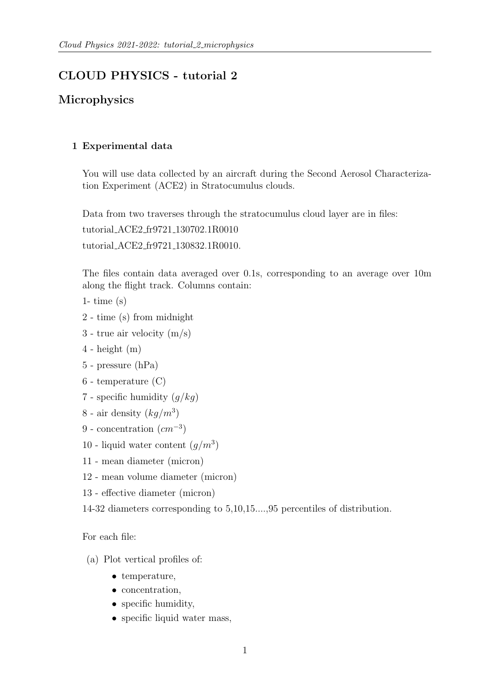# CLOUD PHYSICS - tutorial 2

## Microphysics

### 1 Experimental data

You will use data collected by an aircraft during the Second Aerosol Characterization Experiment (ACE2) in Stratocumulus clouds.

Data from two traverses through the stratocumulus cloud layer are in files:

tutorial ACE2 fr9721 130702.1R0010

tutorial ACE2 fr9721 130832.1R0010.

The files contain data averaged over 0.1s, corresponding to an average over 10m along the flight track. Columns contain:

- 1- time  $(s)$
- 2 time (s) from midnight
- 3 true air velocity (m/s)
- $4$  height  $(m)$
- 5 pressure (hPa)
- 6 temperature (C)
- 7 specific humidity  $(q/kg)$
- 8 air density  $(kg/m^3)$
- 9 concentration  $(cm^{-3})$
- 10 liquid water content  $(g/m^3)$
- 11 mean diameter (micron)
- 12 mean volume diameter (micron)
- 13 effective diameter (micron)

14-32 diameters corresponding to 5,10,15....,95 percentiles of distribution.

For each file:

- (a) Plot vertical profiles of:
	- temperature,
	- concentration,
	- specific humidity,
	- specific liquid water mass,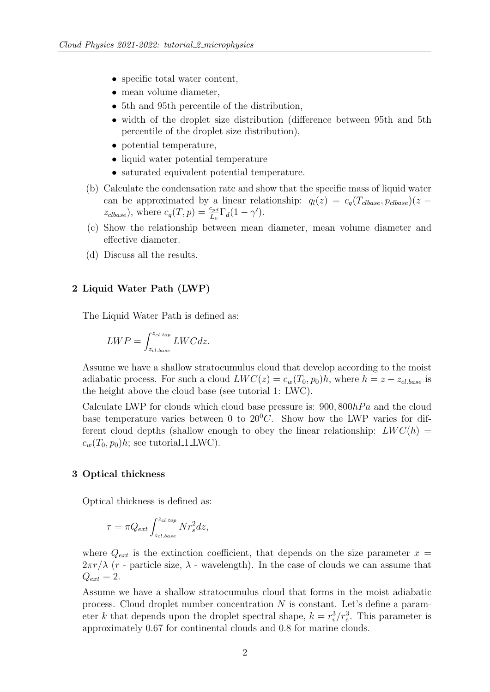- specific total water content,
- mean volume diameter,
- 5th and 95th percentile of the distribution,
- width of the droplet size distribution (difference between 95th and 5th percentile of the droplet size distribution),
- potential temperature,
- liquid water potential temperature
- saturated equivalent potential temperature.
- (b) Calculate the condensation rate and show that the specific mass of liquid water can be approximated by a linear relationship:  $q_l(z) = c_q(T_{close}, p_{close})(z$  $z_{clbase}$ ), where  $c_q(T, p) = \frac{c_{pd}}{L_v} \Gamma_d(1 - \gamma')$ .
- (c) Show the relationship between mean diameter, mean volume diameter and effective diameter.
- (d) Discuss all the results.

### 2 Liquid Water Path (LWP)

The Liquid Water Path is defined as:

$$
LWP = \int_{z_{cl,base}}^{z_{cl,top}} LWC dz.
$$

Assume we have a shallow stratocumulus cloud that develop according to the moist adiabatic process. For such a cloud  $LWC(z) = c_w(T_0, p_0)h$ , where  $h = z - z_{cl, base}$  is the height above the cloud base (see tutorial 1: LWC).

Calculate LWP for clouds which cloud base pressure is:  $900, 800hPa$  and the cloud base temperature varies between 0 to  $20^0C$ . Show how the LWP varies for different cloud depths (shallow enough to obey the linear relationship:  $LWC(h)$  =  $c_w(T_0, p_0)h$ ; see tutorial 1 LWC).

### 3 Optical thickness

Optical thickness is defined as:

$$
\tau = \pi Q_{ext} \int_{z_{cl,base}}^{z_{cl,top}} N r_s^2 dz,
$$

where  $Q_{ext}$  is the extinction coefficient, that depends on the size parameter  $x =$  $2\pi r/\lambda$  (r - particle size,  $\lambda$  - wavelength). In the case of clouds we can assume that  $Q_{ext} = 2.$ 

Assume we have a shallow stratocumulus cloud that forms in the moist adiabatic process. Cloud droplet number concentration N is constant. Let's define a parameter k that depends upon the droplet spectral shape,  $k = r_v^3/r_e^3$ . This parameter is approximately 0.67 for continental clouds and 0.8 for marine clouds.